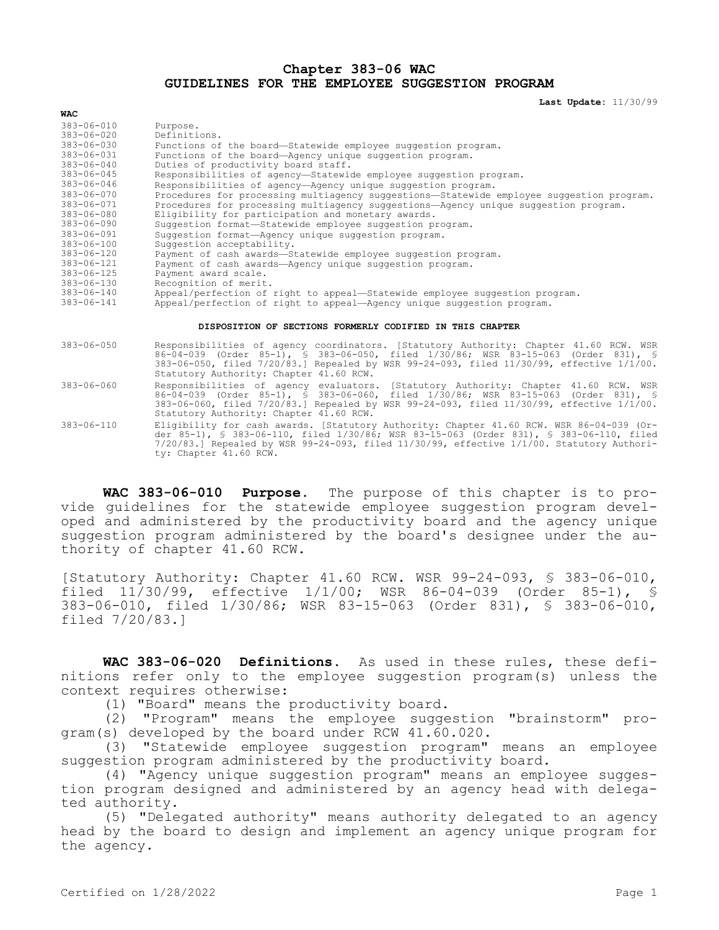## **Chapter 383-06 WAC GUIDELINES FOR THE EMPLOYEE SUGGESTION PROGRAM**

**Last Update:** 11/30/99

| $383 - 06 - 010$ | Purpose.                                                                                 |
|------------------|------------------------------------------------------------------------------------------|
| $383 - 06 - 020$ | Definitions.                                                                             |
| $383 - 06 - 030$ | Functions of the board-Statewide employee suggestion program.                            |
| $383 - 06 - 031$ | Functions of the board-Agency unique suggestion program.                                 |
| $383 - 06 - 040$ | Duties of productivity board staff.                                                      |
| $383 - 06 - 045$ | Responsibilities of agency-Statewide employee suggestion program.                        |
| $383 - 06 - 046$ | Responsibilities of agency-Agency unique suggestion program.                             |
| $383 - 06 - 070$ | Procedures for processing multiagency suggestions-Statewide employee suggestion program. |
| $383 - 06 - 071$ | Procedures for processing multiagency suggestions-Agency unique suggestion program.      |
| $383 - 06 - 080$ | Eligibility for participation and monetary awards.                                       |
| $383 - 06 - 090$ | Suggestion format-Statewide employee suggestion program.                                 |
| $383 - 06 - 091$ | Suggestion format-Agency unique suggestion program.                                      |
| $383 - 06 - 100$ | Suggestion acceptability.                                                                |
| $383 - 06 - 120$ | Payment of cash awards-Statewide employee suggestion program.                            |
| $383 - 06 - 121$ | Payment of cash awards-Agency unique suggestion program.                                 |
| $383 - 06 - 125$ | Payment award scale.                                                                     |
| $383 - 06 - 130$ | Recognition of merit.                                                                    |
| $383 - 06 - 140$ | Appeal/perfection of right to appeal-Statewide employee suggestion program.              |
| $383 - 06 - 141$ | Appeal/perfection of right to appeal-Agency unique suggestion program.                   |

## **DISPOSITION OF SECTIONS FORMERLY CODIFIED IN THIS CHAPTER**

- 383-06-050 Responsibilities of agency coordinators. [Statutory Authority: Chapter 41.60 RCW. WSR 86-04-039 (Order 85-1), § 383-06-050, filed 1/30/86; WSR 83-15-063 (Order 831), § 383-06-050, filed 7/20/83.] Repealed by WSR 99-24-093, filed 11/30/99, effective 1/1/00. Statutory Authority: Chapter 41.60 RCW.
- 383-06-060 Responsibilities of agency evaluators. [Statutory Authority: Chapter 41.60 RCW. WSR 86-04-039 (Order 85-1), § 383-06-060, filed 1/30/86; WSR 83-15-063 (Order 831), § 383-06-060, filed 7/20/83.] Repealed by WSR 99-24-093, filed 11/30/99, effective 1/1/00. Statutory Authority: Chapter 41.60 RCW.
- 383-06-110 Eligibility for cash awards. [Statutory Authority: Chapter 41.60 RCW. WSR 86-04-039 (Order 85-1), § 383-06-110, filed 1/30/86; WSR 83-15-063 (Order 831), § 383-06-110, filed 7/20/83.] Repealed by WSR 99-24-093, filed 11/30/99, effective 1/1/00. Statutory Authority: Chapter 41.60 RCW.

**WAC 383-06-010 Purpose.** The purpose of this chapter is to provide guidelines for the statewide employee suggestion program developed and administered by the productivity board and the agency unique suggestion program administered by the board's designee under the authority of chapter 41.60 RCW.

[Statutory Authority: Chapter 41.60 RCW. WSR 99-24-093, § 383-06-010, filed 11/30/99, effective 1/1/00; WSR 86-04-039 (Order 85-1), § 383-06-010, filed 1/30/86; WSR 83-15-063 (Order 831), § 383-06-010, filed 7/20/83.]

**WAC 383-06-020 Definitions.** As used in these rules, these definitions refer only to the employee suggestion program(s) unless the context requires otherwise:

(1) "Board" means the productivity board.

(2) "Program" means the employee suggestion "brainstorm" program(s) developed by the board under RCW 41.60.020.

(3) "Statewide employee suggestion program" means an employee suggestion program administered by the productivity board.

(4) "Agency unique suggestion program" means an employee suggestion program designed and administered by an agency head with delegated authority.

(5) "Delegated authority" means authority delegated to an agency head by the board to design and implement an agency unique program for the agency.

**WAC**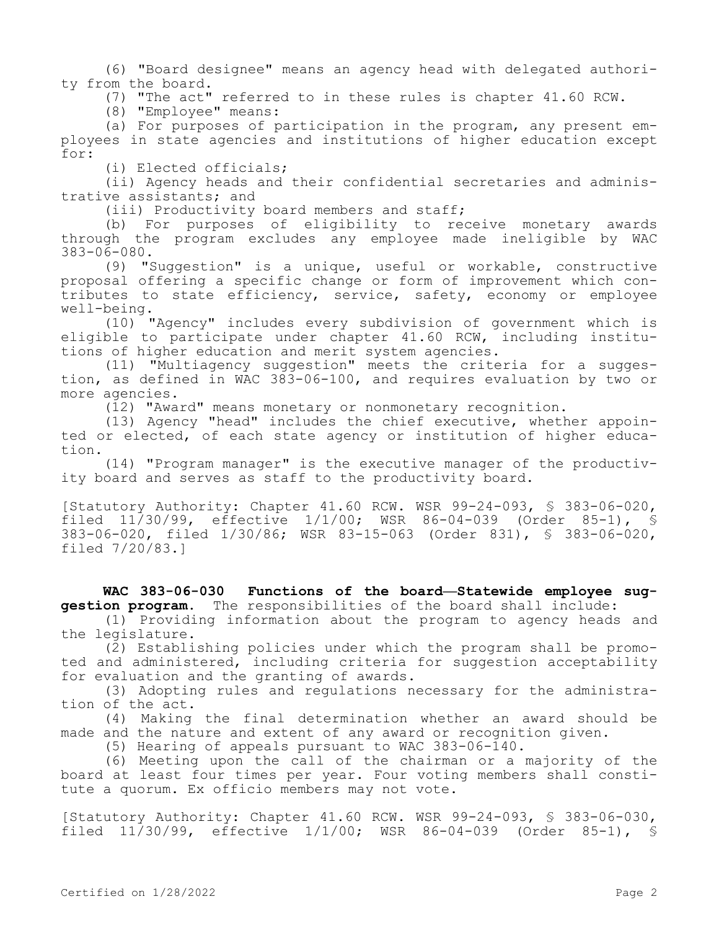(6) "Board designee" means an agency head with delegated authority from the board.

(7) "The act" referred to in these rules is chapter 41.60 RCW.

(8) "Employee" means:

(a) For purposes of participation in the program, any present employees in state agencies and institutions of higher education except for:

(i) Elected officials;

(ii) Agency heads and their confidential secretaries and administrative assistants; and

(iii) Productivity board members and staff;

(b) For purposes of eligibility to receive monetary awards through the program excludes any employee made ineligible by WAC 383-06-080.

(9) "Suggestion" is a unique, useful or workable, constructive proposal offering a specific change or form of improvement which contributes to state efficiency, service, safety, economy or employee well-being.

(10) "Agency" includes every subdivision of government which is eligible to participate under chapter 41.60 RCW, including institutions of higher education and merit system agencies.

(11) "Multiagency suggestion" meets the criteria for a suggestion, as defined in WAC 383-06-100, and requires evaluation by two or more agencies.

(12) "Award" means monetary or nonmonetary recognition.

(13) Agency "head" includes the chief executive, whether appointed or elected, of each state agency or institution of higher education.

(14) "Program manager" is the executive manager of the productivity board and serves as staff to the productivity board.

[Statutory Authority: Chapter 41.60 RCW. WSR 99-24-093, § 383-06-020, filed 11/30/99, effective 1/1/00; WSR 86-04-039 (Order 85-1), § 383-06-020, filed 1/30/86; WSR 83-15-063 (Order 831), § 383-06-020, filed 7/20/83.]

## **WAC 383-06-030 Functions of the board—Statewide employee suggestion program.** The responsibilities of the board shall include:

(1) Providing information about the program to agency heads and the legislature.

(2) Establishing policies under which the program shall be promoted and administered, including criteria for suggestion acceptability for evaluation and the granting of awards.

(3) Adopting rules and regulations necessary for the administration of the act.

(4) Making the final determination whether an award should be made and the nature and extent of any award or recognition given.

(5) Hearing of appeals pursuant to WAC 383-06-140.

(6) Meeting upon the call of the chairman or a majority of the board at least four times per year. Four voting members shall constitute a quorum. Ex officio members may not vote.

[Statutory Authority: Chapter 41.60 RCW. WSR 99-24-093, § 383-06-030, filed 11/30/99, effective 1/1/00; WSR 86-04-039 (Order 85-1), §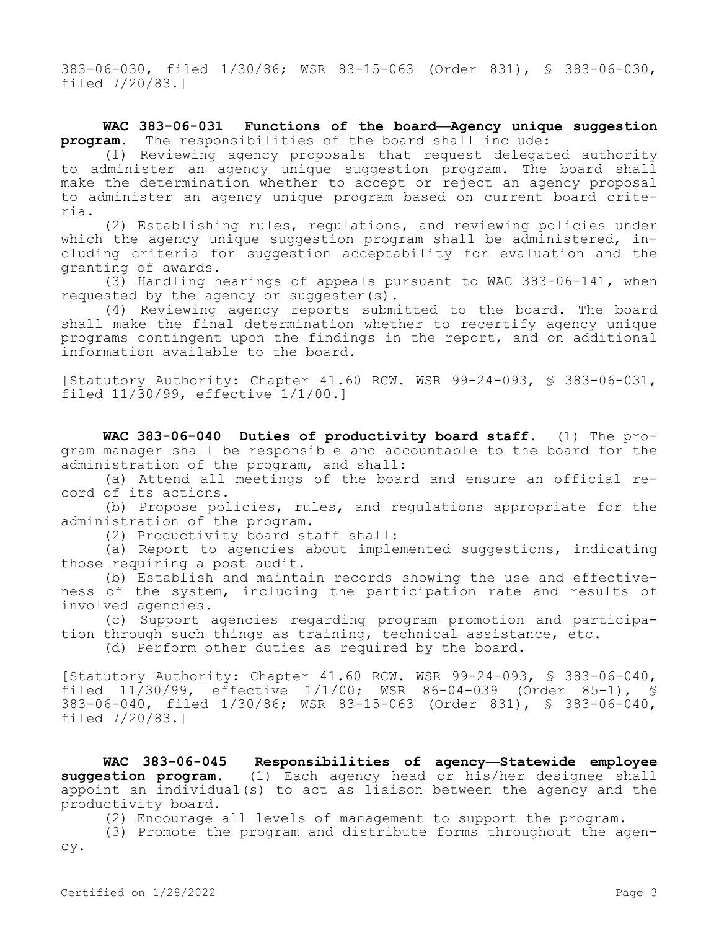383-06-030, filed 1/30/86; WSR 83-15-063 (Order 831), § 383-06-030, filed 7/20/83.]

## **WAC 383-06-031 Functions of the board—Agency unique suggestion program.** The responsibilities of the board shall include:

(1) Reviewing agency proposals that request delegated authority to administer an agency unique suggestion program. The board shall make the determination whether to accept or reject an agency proposal to administer an agency unique program based on current board criteria.

(2) Establishing rules, regulations, and reviewing policies under which the agency unique suggestion program shall be administered, including criteria for suggestion acceptability for evaluation and the granting of awards.

(3) Handling hearings of appeals pursuant to WAC 383-06-141, when requested by the agency or suggester(s).

(4) Reviewing agency reports submitted to the board. The board shall make the final determination whether to recertify agency unique programs contingent upon the findings in the report, and on additional information available to the board.

[Statutory Authority: Chapter 41.60 RCW. WSR 99-24-093, § 383-06-031, filed 11/30/99, effective 1/1/00.]

**WAC 383-06-040 Duties of productivity board staff.** (1) The program manager shall be responsible and accountable to the board for the administration of the program, and shall:

(a) Attend all meetings of the board and ensure an official record of its actions.

(b) Propose policies, rules, and regulations appropriate for the administration of the program.

(2) Productivity board staff shall:

(a) Report to agencies about implemented suggestions, indicating those requiring a post audit.

(b) Establish and maintain records showing the use and effectiveness of the system, including the participation rate and results of involved agencies.

(c) Support agencies regarding program promotion and participation through such things as training, technical assistance, etc.

(d) Perform other duties as required by the board.

[Statutory Authority: Chapter 41.60 RCW. WSR 99-24-093, § 383-06-040, filed  $11/30/99$ , effective  $1/1/00$ ; WSR 86-04-039 (Order 85-1), 383-06-040, filed 1/30/86; WSR 83-15-063 (Order 831), § 383-06-040, filed 7/20/83.]

**WAC 383-06-045 Responsibilities of agency—Statewide employee suggestion program.** (1) Each agency head or his/her designee shall appoint an individual(s) to act as liaison between the agency and the productivity board.

(2) Encourage all levels of management to support the program.

(3) Promote the program and distribute forms throughout the agency.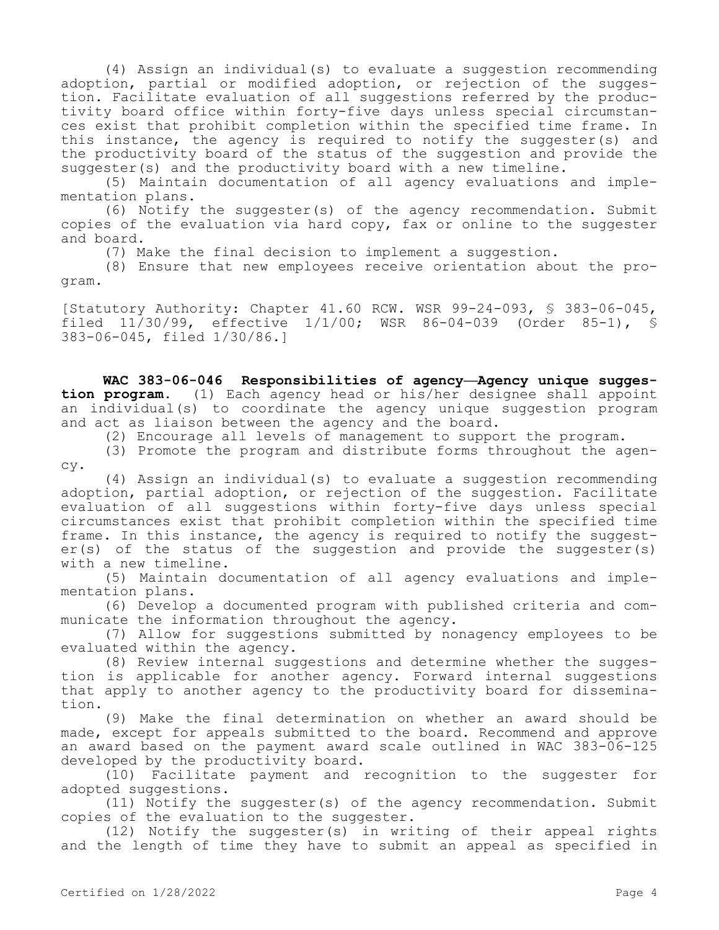(4) Assign an individual(s) to evaluate a suggestion recommending adoption, partial or modified adoption, or rejection of the suggestion. Facilitate evaluation of all suggestions referred by the productivity board office within forty-five days unless special circumstances exist that prohibit completion within the specified time frame. In this instance, the agency is required to notify the suggester(s) and the productivity board of the status of the suggestion and provide the suggester(s) and the productivity board with a new timeline.

(5) Maintain documentation of all agency evaluations and implementation plans.

(6) Notify the suggester(s) of the agency recommendation. Submit copies of the evaluation via hard copy, fax or online to the suggester and board.

(7) Make the final decision to implement a suggestion.

(8) Ensure that new employees receive orientation about the program.

[Statutory Authority: Chapter 41.60 RCW. WSR 99-24-093, § 383-06-045, filed 11/30/99, effective 1/1/00; WSR 86-04-039 (Order 85-1), § 383-06-045, filed 1/30/86.]

**WAC 383-06-046 Responsibilities of agency—Agency unique suggestion program.** (1) Each agency head or his/her designee shall appoint an individual(s) to coordinate the agency unique suggestion program and act as liaison between the agency and the board.

(2) Encourage all levels of management to support the program.

(3) Promote the program and distribute forms throughout the agency.

(4) Assign an individual(s) to evaluate a suggestion recommending adoption, partial adoption, or rejection of the suggestion. Facilitate evaluation of all suggestions within forty-five days unless special circumstances exist that prohibit completion within the specified time frame. In this instance, the agency is required to notify the suggester(s) of the status of the suggestion and provide the suggester(s) with a new timeline.

(5) Maintain documentation of all agency evaluations and implementation plans.

(6) Develop a documented program with published criteria and communicate the information throughout the agency.

(7) Allow for suggestions submitted by nonagency employees to be evaluated within the agency.

(8) Review internal suggestions and determine whether the suggestion is applicable for another agency. Forward internal suggestions that apply to another agency to the productivity board for dissemination.

(9) Make the final determination on whether an award should be made, except for appeals submitted to the board. Recommend and approve an award based on the payment award scale outlined in WAC 383-06-125 developed by the productivity board.

(10) Facilitate payment and recognition to the suggester for adopted suggestions.

(11) Notify the suggester(s) of the agency recommendation. Submit copies of the evaluation to the suggester.

(12) Notify the suggester(s) in writing of their appeal rights and the length of time they have to submit an appeal as specified in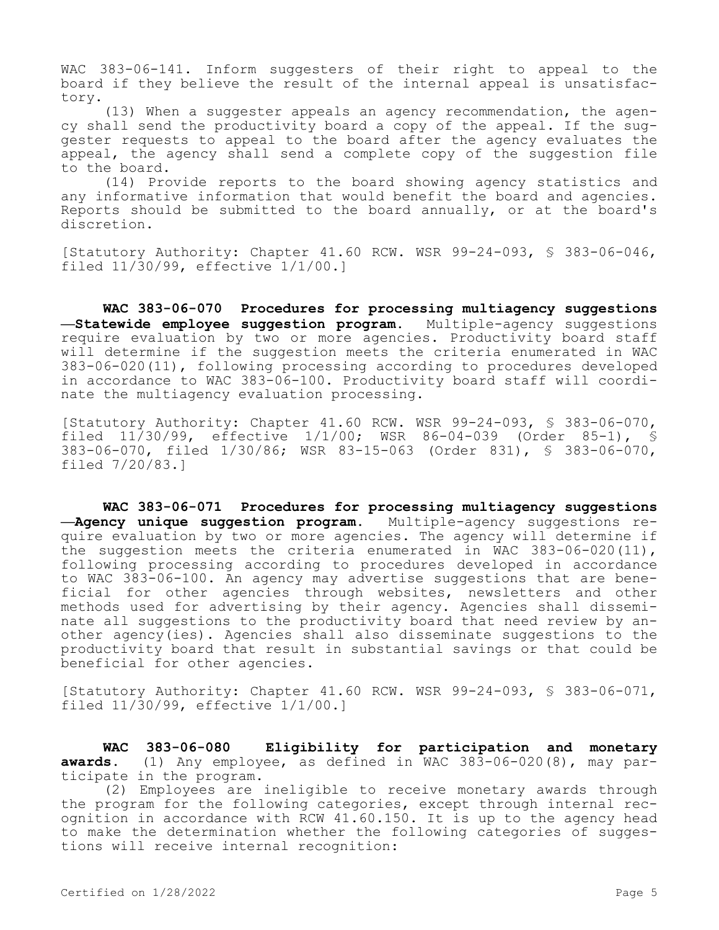WAC 383-06-141. Inform suggesters of their right to appeal to the board if they believe the result of the internal appeal is unsatisfactory.

(13) When a suggester appeals an agency recommendation, the agency shall send the productivity board a copy of the appeal. If the suggester requests to appeal to the board after the agency evaluates the appeal, the agency shall send a complete copy of the suggestion file to the board.

(14) Provide reports to the board showing agency statistics and any informative information that would benefit the board and agencies. Reports should be submitted to the board annually, or at the board's discretion.

[Statutory Authority: Chapter 41.60 RCW. WSR 99-24-093, § 383-06-046, filed 11/30/99, effective 1/1/00.]

**WAC 383-06-070 Procedures for processing multiagency suggestions —Statewide employee suggestion program.** Multiple-agency suggestions require evaluation by two or more agencies. Productivity board staff will determine if the suggestion meets the criteria enumerated in WAC 383-06-020(11), following processing according to procedures developed in accordance to WAC 383-06-100. Productivity board staff will coordinate the multiagency evaluation processing.

[Statutory Authority: Chapter 41.60 RCW. WSR 99-24-093, § 383-06-070, filed 11/30/99, effective 1/1/00; WSR 86-04-039 (Order 85-1), § 383-06-070, filed 1/30/86; WSR 83-15-063 (Order 831), § 383-06-070, filed 7/20/83.]

**WAC 383-06-071 Procedures for processing multiagency suggestions —Agency unique suggestion program.** Multiple-agency suggestions require evaluation by two or more agencies. The agency will determine if the suggestion meets the criteria enumerated in WAC 383-06-020(11), following processing according to procedures developed in accordance to WAC 383-06-100. An agency may advertise suggestions that are beneficial for other agencies through websites, newsletters and other methods used for advertising by their agency. Agencies shall disseminate all suggestions to the productivity board that need review by another agency(ies). Agencies shall also disseminate suggestions to the productivity board that result in substantial savings or that could be beneficial for other agencies.

[Statutory Authority: Chapter 41.60 RCW. WSR 99-24-093, § 383-06-071, filed 11/30/99, effective 1/1/00.]

**WAC 383-06-080 Eligibility for participation and monetary awards.** (1) Any employee, as defined in WAC 383-06-020(8), may participate in the program.

(2) Employees are ineligible to receive monetary awards through the program for the following categories, except through internal recognition in accordance with RCW 41.60.150. It is up to the agency head to make the determination whether the following categories of suggestions will receive internal recognition: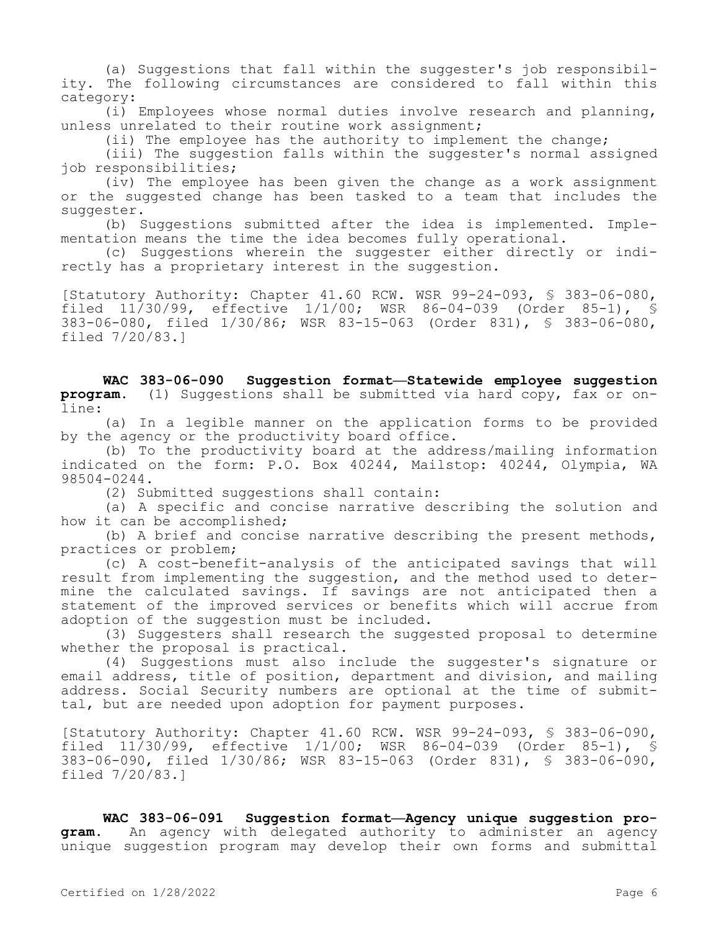(a) Suggestions that fall within the suggester's job responsibility. The following circumstances are considered to fall within this category:

(i) Employees whose normal duties involve research and planning, unless unrelated to their routine work assignment;

(ii) The employee has the authority to implement the change;

(iii) The suggestion falls within the suggester's normal assigned job responsibilities;

(iv) The employee has been given the change as a work assignment or the suggested change has been tasked to a team that includes the suggester.

(b) Suggestions submitted after the idea is implemented. Implementation means the time the idea becomes fully operational.

(c) Suggestions wherein the suggester either directly or indirectly has a proprietary interest in the suggestion.

[Statutory Authority: Chapter 41.60 RCW. WSR 99-24-093, § 383-06-080, filed 11/30/99, effective 1/1/00; WSR 86-04-039 (Order 85-1), § 383-06-080, filed 1/30/86; WSR 83-15-063 (Order 831), § 383-06-080, filed 7/20/83.]

**WAC 383-06-090 Suggestion format—Statewide employee suggestion program.** (1) Suggestions shall be submitted via hard copy, fax or online:

(a) In a legible manner on the application forms to be provided by the agency or the productivity board office.

(b) To the productivity board at the address/mailing information indicated on the form: P.O. Box 40244, Mailstop: 40244, Olympia, WA 98504-0244.

(2) Submitted suggestions shall contain:

(a) A specific and concise narrative describing the solution and how it can be accomplished;

(b) A brief and concise narrative describing the present methods, practices or problem;

(c) A cost-benefit-analysis of the anticipated savings that will result from implementing the suggestion, and the method used to determine the calculated savings. If savings are not anticipated then a statement of the improved services or benefits which will accrue from adoption of the suggestion must be included.

(3) Suggesters shall research the suggested proposal to determine whether the proposal is practical.

(4) Suggestions must also include the suggester's signature or email address, title of position, department and division, and mailing address. Social Security numbers are optional at the time of submittal, but are needed upon adoption for payment purposes.

[Statutory Authority: Chapter 41.60 RCW. WSR 99-24-093, § 383-06-090, filed 11/30/99, effective 1/1/00; WSR 86-04-039 (Order 85-1), § 383-06-090, filed 1/30/86; WSR 83-15-063 (Order 831), § 383-06-090, filed 7/20/83.]

**WAC 383-06-091 Suggestion format—Agency unique suggestion program.** An agency with delegated authority to administer an agency unique suggestion program may develop their own forms and submittal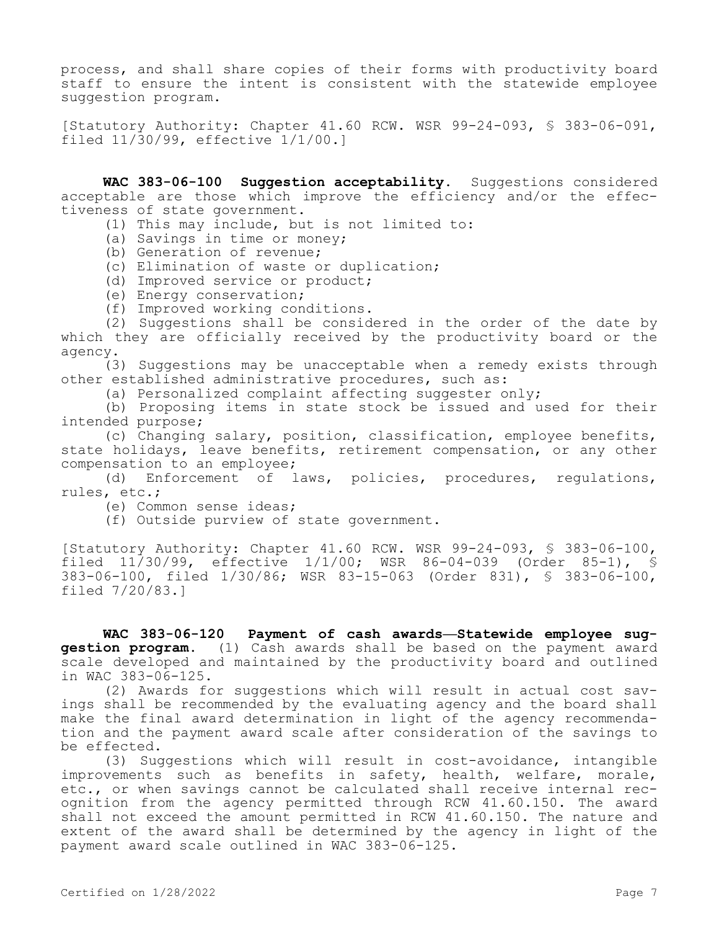process, and shall share copies of their forms with productivity board staff to ensure the intent is consistent with the statewide employee suggestion program.

[Statutory Authority: Chapter 41.60 RCW. WSR 99-24-093, § 383-06-091, filed 11/30/99, effective 1/1/00.]

**WAC 383-06-100 Suggestion acceptability.** Suggestions considered acceptable are those which improve the efficiency and/or the effectiveness of state government.

- (1) This may include, but is not limited to:
- (a) Savings in time or money;
- (b) Generation of revenue;
- (c) Elimination of waste or duplication;
- (d) Improved service or product;
- (e) Energy conservation;
- (f) Improved working conditions.

(2) Suggestions shall be considered in the order of the date by which they are officially received by the productivity board or the agency.

(3) Suggestions may be unacceptable when a remedy exists through other established administrative procedures, such as:

(a) Personalized complaint affecting suggester only;

(b) Proposing items in state stock be issued and used for their intended purpose;

(c) Changing salary, position, classification, employee benefits, state holidays, leave benefits, retirement compensation, or any other compensation to an employee;

(d) Enforcement of laws, policies, procedures, regulations, rules, etc.;

(e) Common sense ideas;

(f) Outside purview of state government.

[Statutory Authority: Chapter 41.60 RCW. WSR 99-24-093, § 383-06-100, filed 11/30/99, effective 1/1/00; WSR 86-04-039 (Order 85-1), § 383-06-100, filed 1/30/86; WSR 83-15-063 (Order 831), § 383-06-100, filed 7/20/83.]

**WAC 383-06-120 Payment of cash awards—Statewide employee suggestion program.** (1) Cash awards shall be based on the payment award scale developed and maintained by the productivity board and outlined in WAC 383-06-125.

(2) Awards for suggestions which will result in actual cost savings shall be recommended by the evaluating agency and the board shall make the final award determination in light of the agency recommendation and the payment award scale after consideration of the savings to be effected.

(3) Suggestions which will result in cost-avoidance, intangible improvements such as benefits in safety, health, welfare, morale, etc., or when savings cannot be calculated shall receive internal recognition from the agency permitted through RCW 41.60.150. The award shall not exceed the amount permitted in RCW 41.60.150. The nature and extent of the award shall be determined by the agency in light of the payment award scale outlined in WAC 383-06-125.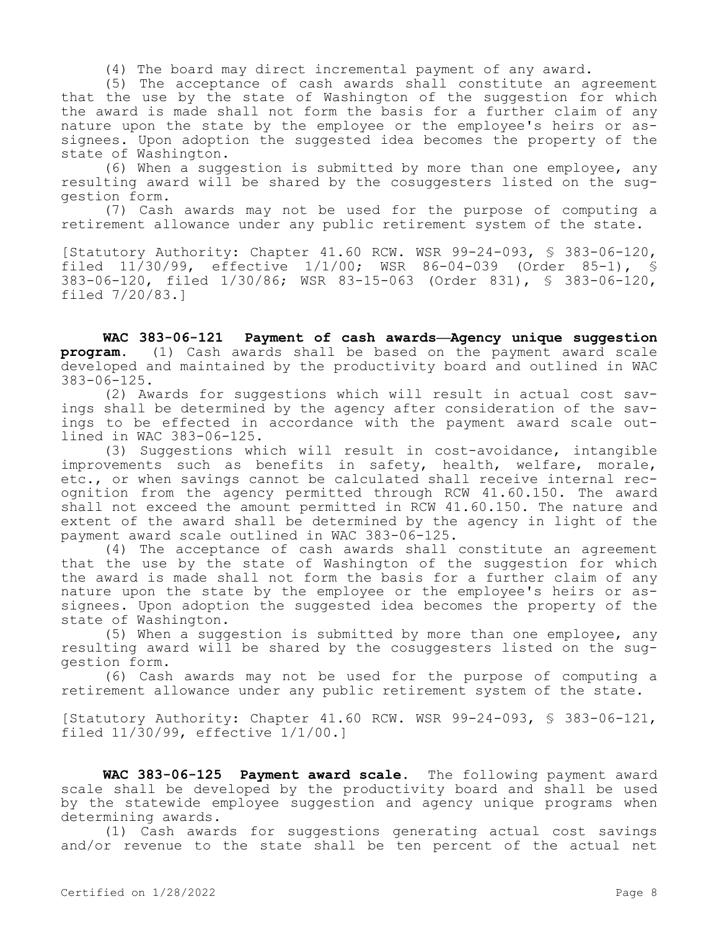(4) The board may direct incremental payment of any award.

(5) The acceptance of cash awards shall constitute an agreement that the use by the state of Washington of the suggestion for which the award is made shall not form the basis for a further claim of any nature upon the state by the employee or the employee's heirs or assignees. Upon adoption the suggested idea becomes the property of the state of Washington.

(6) When a suggestion is submitted by more than one employee, any resulting award will be shared by the cosuggesters listed on the suggestion form.

(7) Cash awards may not be used for the purpose of computing a retirement allowance under any public retirement system of the state.

[Statutory Authority: Chapter 41.60 RCW. WSR 99-24-093, § 383-06-120, filed 11/30/99, effective 1/1/00; WSR 86-04-039 (Order 85-1), § 383-06-120, filed 1/30/86; WSR 83-15-063 (Order 831), § 383-06-120, filed 7/20/83.]

**WAC 383-06-121 Payment of cash awards—Agency unique suggestion program.** (1) Cash awards shall be based on the payment award scale developed and maintained by the productivity board and outlined in WAC 383-06-125.

(2) Awards for suggestions which will result in actual cost savings shall be determined by the agency after consideration of the savings to be effected in accordance with the payment award scale outlined in WAC 383-06-125.

(3) Suggestions which will result in cost-avoidance, intangible improvements such as benefits in safety, health, welfare, morale, etc., or when savings cannot be calculated shall receive internal recognition from the agency permitted through RCW 41.60.150. The award shall not exceed the amount permitted in RCW 41.60.150. The nature and extent of the award shall be determined by the agency in light of the payment award scale outlined in WAC 383-06-125.

(4) The acceptance of cash awards shall constitute an agreement that the use by the state of Washington of the suggestion for which the award is made shall not form the basis for a further claim of any nature upon the state by the employee or the employee's heirs or assignees. Upon adoption the suggested idea becomes the property of the state of Washington.

(5) When a suggestion is submitted by more than one employee, any resulting award will be shared by the cosuggesters listed on the suggestion form.

(6) Cash awards may not be used for the purpose of computing a retirement allowance under any public retirement system of the state.

[Statutory Authority: Chapter 41.60 RCW. WSR 99-24-093, § 383-06-121, filed 11/30/99, effective 1/1/00.]

**WAC 383-06-125 Payment award scale.** The following payment award scale shall be developed by the productivity board and shall be used by the statewide employee suggestion and agency unique programs when determining awards.

(1) Cash awards for suggestions generating actual cost savings and/or revenue to the state shall be ten percent of the actual net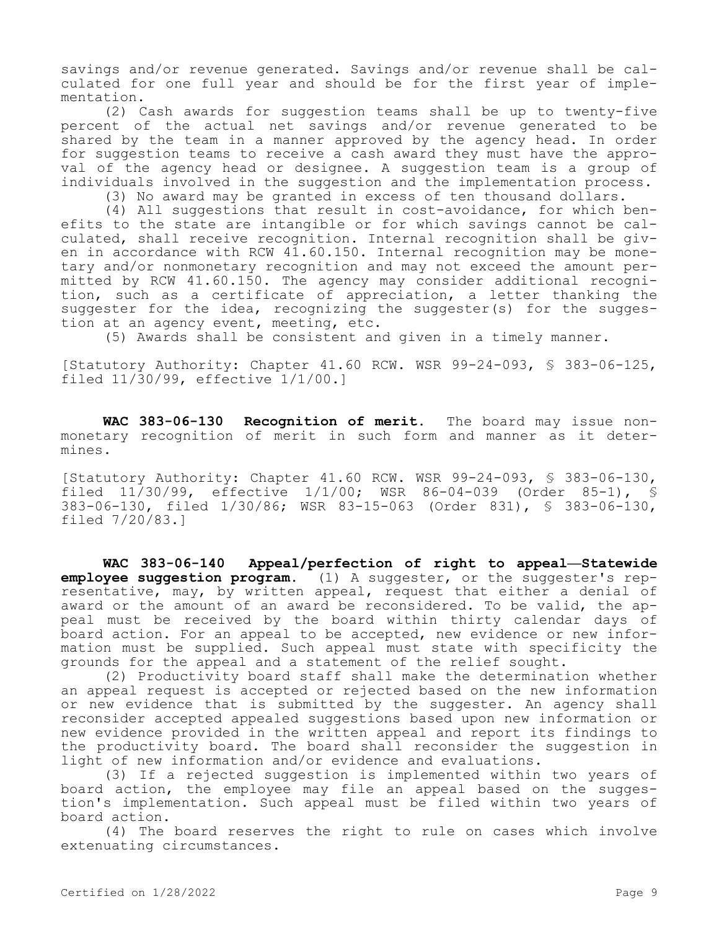savings and/or revenue generated. Savings and/or revenue shall be calculated for one full year and should be for the first year of implementation.

(2) Cash awards for suggestion teams shall be up to twenty-five percent of the actual net savings and/or revenue generated to be shared by the team in a manner approved by the agency head. In order for suggestion teams to receive a cash award they must have the approval of the agency head or designee. A suggestion team is a group of individuals involved in the suggestion and the implementation process.

(3) No award may be granted in excess of ten thousand dollars.

(4) All suggestions that result in cost-avoidance, for which benefits to the state are intangible or for which savings cannot be calculated, shall receive recognition. Internal recognition shall be given in accordance with RCW 41.60.150. Internal recognition may be monetary and/or nonmonetary recognition and may not exceed the amount permitted by RCW 41.60.150. The agency may consider additional recognition, such as a certificate of appreciation, a letter thanking the suggester for the idea, recognizing the suggester(s) for the suggestion at an agency event, meeting, etc.

(5) Awards shall be consistent and given in a timely manner.

[Statutory Authority: Chapter 41.60 RCW. WSR 99-24-093, § 383-06-125, filed 11/30/99, effective 1/1/00.]

**WAC 383-06-130 Recognition of merit.** The board may issue nonmonetary recognition of merit in such form and manner as it determines.

[Statutory Authority: Chapter 41.60 RCW. WSR 99-24-093, § 383-06-130, filed  $11/30/99$ , effective  $1/1/00$ ; WSR 86-04-039 (Order 85-1), 383-06-130, filed 1/30/86; WSR 83-15-063 (Order 831), § 383-06-130, filed 7/20/83.]

**WAC 383-06-140 Appeal/perfection of right to appeal—Statewide employee suggestion program.** (1) A suggester, or the suggester's representative, may, by written appeal, request that either a denial of award or the amount of an award be reconsidered. To be valid, the appeal must be received by the board within thirty calendar days of board action. For an appeal to be accepted, new evidence or new information must be supplied. Such appeal must state with specificity the grounds for the appeal and a statement of the relief sought.

(2) Productivity board staff shall make the determination whether an appeal request is accepted or rejected based on the new information or new evidence that is submitted by the suggester. An agency shall reconsider accepted appealed suggestions based upon new information or new evidence provided in the written appeal and report its findings to the productivity board. The board shall reconsider the suggestion in light of new information and/or evidence and evaluations.

(3) If a rejected suggestion is implemented within two years of board action, the employee may file an appeal based on the suggestion's implementation. Such appeal must be filed within two years of board action.

(4) The board reserves the right to rule on cases which involve extenuating circumstances.